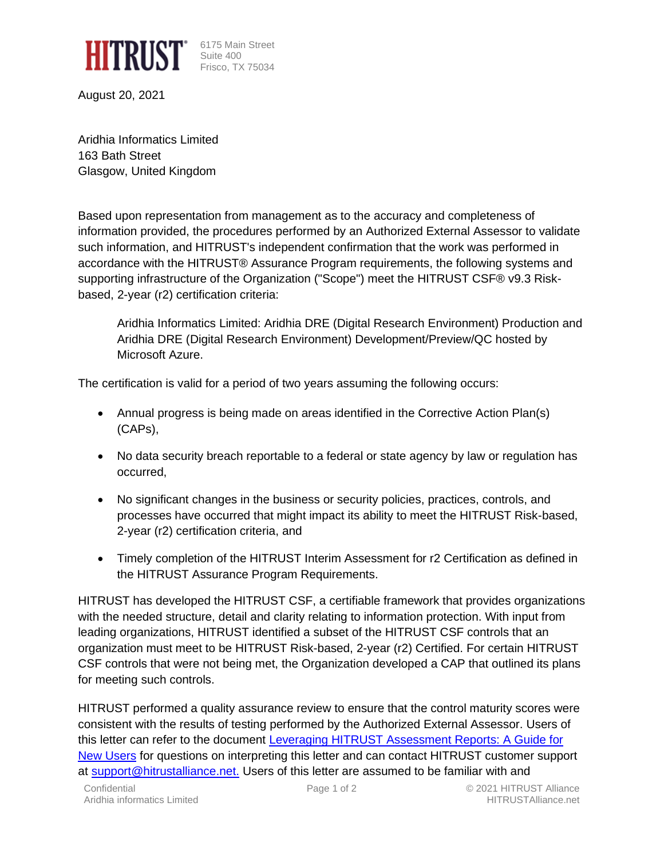

6175 Main Street Frisco, TX 75034

August 20, 2021

Aridhia Informatics Limited 163 Bath Street Glasgow, United Kingdom

Based upon representation from management as to the accuracy and completeness of information provided, the procedures performed by an Authorized External Assessor to validate such information, and HITRUST's independent confirmation that the work was performed in accordance with the HITRUST® Assurance Program requirements, the following systems and supporting infrastructure of the Organization ("Scope") meet the HITRUST CSF® v9.3 Riskbased, 2-year (r2) certification criteria:

Aridhia Informatics Limited: Aridhia DRE (Digital Research Environment) Production and Aridhia DRE (Digital Research Environment) Development/Preview/QC hosted by Microsoft Azure.

The certification is valid for a period of two years assuming the following occurs:

- Annual progress is being made on areas identified in the Corrective Action Plan(s) (CAPs),
- No data security breach reportable to a federal or state agency by law or regulation has occurred,
- No significant changes in the business or security policies, practices, controls, and processes have occurred that might impact its ability to meet the HITRUST Risk-based, 2-year (r2) certification criteria, and
- Timely completion of the HITRUST Interim Assessment for r2 Certification as defined in the HITRUST Assurance Program Requirements.

HITRUST has developed the HITRUST CSF, a certifiable framework that provides organizations with the needed structure, detail and clarity relating to information protection. With input from leading organizations, HITRUST identified a subset of the HITRUST CSF controls that an organization must meet to be HITRUST Risk-based, 2-year (r2) Certified. For certain HITRUST CSF controls that were not being met, the Organization developed a CAP that outlined its plans for meeting such controls.

HITRUST performed a quality assurance review to ensure that the control maturity scores were consistent with the results of testing performed by the Authorized External Assessor. Users of this letter can refer to the document [Leveraging HITRUST Assessment Reports: A Guide for](https://hitrustalliance.net/content/uploads/Leveraging-CSF-v9-Assessment-Reports.pdf)  [New Users](https://hitrustalliance.net/content/uploads/Leveraging-CSF-v9-Assessment-Reports.pdf) for questions on interpreting this letter and can contact HITRUST customer support at [support@hitrustalliance.net.](mailto:support@hitrustalliance.net) Users of this letter are assumed to be familiar with and